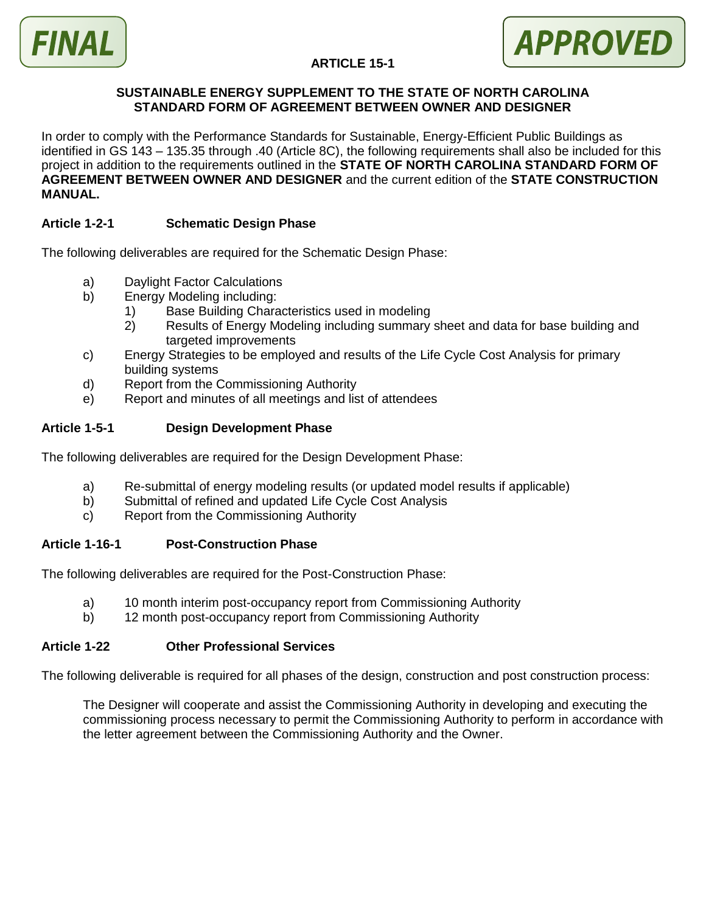



## **ARTICLE 15-1**

#### **SUSTAINABLE ENERGY SUPPLEMENT TO THE STATE OF NORTH CAROLINA STANDARD FORM OF AGREEMENT BETWEEN OWNER AND DESIGNER**

In order to comply with the Performance Standards for Sustainable, Energy-Efficient Public Buildings as identified in GS 143 – 135.35 through .40 (Article 8C), the following requirements shall also be included for this project in addition to the requirements outlined in the **STATE OF NORTH CAROLINA STANDARD FORM OF AGREEMENT BETWEEN OWNER AND DESIGNER** and the current edition of the **STATE CONSTRUCTION MANUAL.**

### **Article 1-2-1 Schematic Design Phase**

The following deliverables are required for the Schematic Design Phase:

- a) Daylight Factor Calculations
- b) Energy Modeling including:
	- 1) Base Building Characteristics used in modeling
	- 2) Results of Energy Modeling including summary sheet and data for base building and targeted improvements
- c) Energy Strategies to be employed and results of the Life Cycle Cost Analysis for primary building systems
- d) Report from the Commissioning Authority
- e) Report and minutes of all meetings and list of attendees

## **Article 1-5-1 Design Development Phase**

The following deliverables are required for the Design Development Phase:

- a) Re-submittal of energy modeling results (or updated model results if applicable)
- b) Submittal of refined and updated Life Cycle Cost Analysis
- c) Report from the Commissioning Authority

#### **Article 1-16-1 Post-Construction Phase**

The following deliverables are required for the Post-Construction Phase:

- a) 10 month interim post-occupancy report from Commissioning Authority
- b) 12 month post-occupancy report from Commissioning Authority

#### **Article 1-22 Other Professional Services**

The following deliverable is required for all phases of the design, construction and post construction process:

The Designer will cooperate and assist the Commissioning Authority in developing and executing the commissioning process necessary to permit the Commissioning Authority to perform in accordance with the letter agreement between the Commissioning Authority and the Owner.